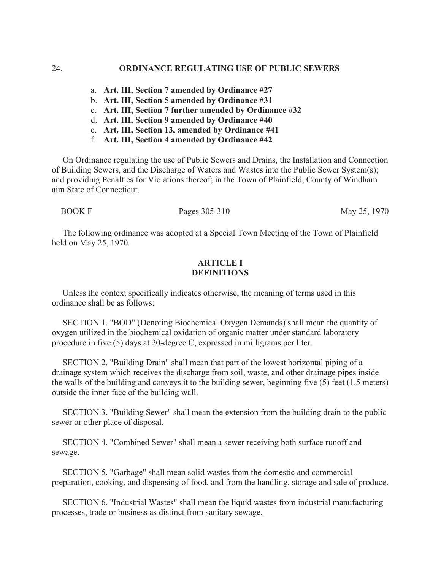- a. **Art. III, Section 7 amended by Ordinance #27**
- b. **Art. III, Section 5 amended by Ordinance #31**
- c. **Art. III, Section 7 further amended by Ordinance #32**
- d. **Art. III, Section 9 amended by Ordinance #40**
- e. **Art. III, Section 13, amended by Ordinance #41**
- f. **Art. III, Section 4 amended by Ordinance #42**

 On Ordinance regulating the use of Public Sewers and Drains, the Installation and Connection of Building Sewers, and the Discharge of Waters and Wastes into the Public Sewer System(s); and providing Penalties for Violations thereof; in the Town of Plainfield, County of Windham aim State of Connecticut.

BOOK F Pages 305-310 May 25, 1970

 The following ordinance was adopted at a Special Town Meeting of the Town of Plainfield held on May 25, 1970.

## **ARTICLE I DEFINITIONS**

 Unless the context specifically indicates otherwise, the meaning of terms used in this ordinance shall be as follows:

 SECTION 1. "BOD" (Denoting Biochemical Oxygen Demands) shall mean the quantity of oxygen utilized in the biochemical oxidation of organic matter under standard laboratory procedure in five (5) days at 20-degree C, expressed in milligrams per liter.

 SECTION 2. "Building Drain" shall mean that part of the lowest horizontal piping of a drainage system which receives the discharge from soil, waste, and other drainage pipes inside the walls of the building and conveys it to the building sewer, beginning five (5) feet (1.5 meters) outside the inner face of the building wall.

 SECTION 3. "Building Sewer" shall mean the extension from the building drain to the public sewer or other place of disposal.

 SECTION 4. "Combined Sewer" shall mean a sewer receiving both surface runoff and sewage.

 SECTION 5. "Garbage" shall mean solid wastes from the domestic and commercial preparation, cooking, and dispensing of food, and from the handling, storage and sale of produce.

 SECTION 6. "Industrial Wastes" shall mean the liquid wastes from industrial manufacturing processes, trade or business as distinct from sanitary sewage.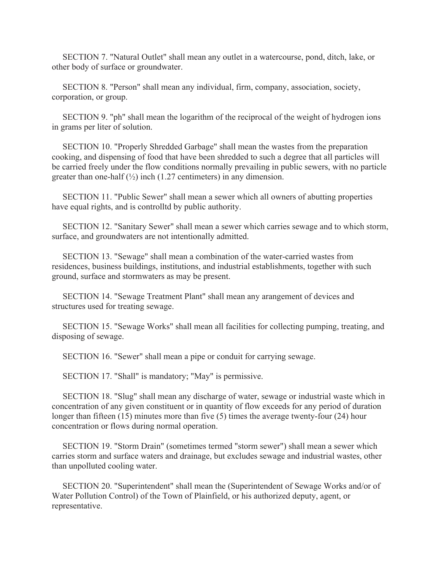SECTION 7. "Natural Outlet" shall mean any outlet in a watercourse, pond, ditch, lake, or other body of surface or groundwater.

 SECTION 8. "Person" shall mean any individual, firm, company, association, society, corporation, or group.

 SECTION 9. "ph" shall mean the logarithm of the reciprocal of the weight of hydrogen ions in grams per liter of solution.

 SECTION 10. "Properly Shredded Garbage" shall mean the wastes from the preparation cooking, and dispensing of food that have been shredded to such a degree that all particles will be carried freely under the flow conditions normally prevailing in public sewers, with no particle greater than one-half  $(\frac{1}{2})$  inch (1.27 centimeters) in any dimension.

 SECTION 11. "Public Sewer" shall mean a sewer which all owners of abutting properties have equal rights, and is controlltd by public authority.

 SECTION 12. "Sanitary Sewer" shall mean a sewer which carries sewage and to which storm, surface, and groundwaters are not intentionally admitted.

 SECTION 13. "Sewage" shall mean a combination of the water-carried wastes from residences, business buildings, institutions, and industrial establishments, together with such ground, surface and stormwaters as may be present.

 SECTION 14. "Sewage Treatment Plant" shall mean any arangement of devices and structures used for treating sewage.

 SECTION 15. "Sewage Works" shall mean all facilities for collecting pumping, treating, and disposing of sewage.

SECTION 16. "Sewer" shall mean a pipe or conduit for carrying sewage.

SECTION 17. "Shall" is mandatory; "May" is permissive.

 SECTION 18. "Slug" shall mean any discharge of water, sewage or industrial waste which in concentration of any given constituent or in quantity of flow exceeds for any period of duration longer than fifteen (15) minutes more than five (5) times the average twenty-four (24) hour concentration or flows during normal operation.

 SECTION 19. "Storm Drain" (sometimes termed "storm sewer") shall mean a sewer which carries storm and surface waters and drainage, but excludes sewage and industrial wastes, other than unpolluted cooling water.

 SECTION 20. "Superintendent" shall mean the (Superintendent of Sewage Works and/or of Water Pollution Control) of the Town of Plainfield, or his authorized deputy, agent, or representative.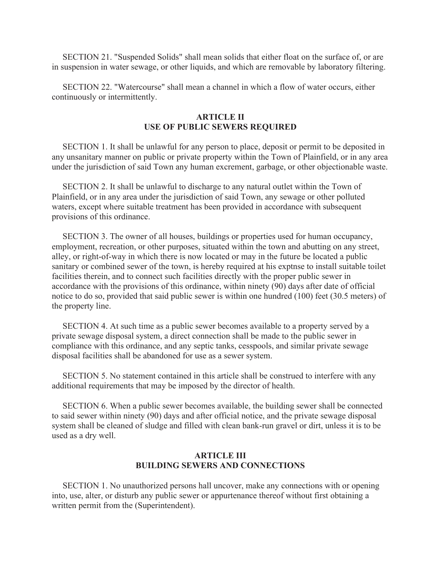SECTION 21. "Suspended Solids" shall mean solids that either float on the surface of, or are in suspension in water sewage, or other liquids, and which are removable by laboratory filtering.

 SECTION 22. "Watercourse" shall mean a channel in which a flow of water occurs, either continuously or intermittently.

## **ARTICLE II USE OF PUBLIC SEWERS REQUIRED**

 SECTION 1. It shall be unlawful for any person to place, deposit or permit to be deposited in any unsanitary manner on public or private property within the Town of Plainfield, or in any area under the jurisdiction of said Town any human excrement, garbage, or other objectionable waste.

 SECTION 2. It shall be unlawful to discharge to any natural outlet within the Town of Plainfield, or in any area under the jurisdiction of said Town, any sewage or other polluted waters, except where suitable treatment has been provided in accordance with subsequent provisions of this ordinance.

 SECTION 3. The owner of all houses, buildings or properties used for human occupancy, employment, recreation, or other purposes, situated within the town and abutting on any street, alley, or right-of-way in which there is now located or may in the future be located a public sanitary or combined sewer of the town, is hereby required at his exptnse to install suitable toilet facilities therein, and to connect such facilities directly with the proper public sewer in accordance with the provisions of this ordinance, within ninety (90) days after date of official notice to do so, provided that said public sewer is within one hundred (100) feet (30.5 meters) of the property line.

 SECTION 4. At such time as a public sewer becomes available to a property served by a private sewage disposal system, a direct connection shall be made to the public sewer in compliance with this ordinance, and any septic tanks, cesspools, and similar private sewage disposal facilities shall be abandoned for use as a sewer system.

 SECTION 5. No statement contained in this article shall be construed to interfere with any additional requirements that may be imposed by the director of health.

 SECTION 6. When a public sewer becomes available, the building sewer shall be connected to said sewer within ninety (90) days and after official notice, and the private sewage disposal system shall be cleaned of sludge and filled with clean bank-run gravel or dirt, unless it is to be used as a dry well.

# **ARTICLE III BUILDING SEWERS AND CONNECTIONS**

 SECTION 1. No unauthorized persons hall uncover, make any connections with or opening into, use, alter, or disturb any public sewer or appurtenance thereof without first obtaining a written permit from the (Superintendent).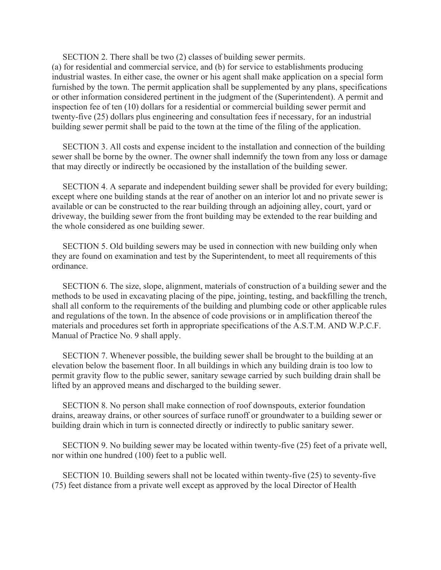SECTION 2. There shall be two (2) classes of building sewer permits. (a) for residential and commercial service, and (b) for service to establishments producing industrial wastes. In either case, the owner or his agent shall make application on a special form furnished by the town. The permit application shall be supplemented by any plans, specifications or other information considered pertinent in the judgment of the (Superintendent). A permit and inspection fee of ten (10) dollars for a residential or commercial building sewer permit and twenty-five (25) dollars plus engineering and consultation fees if necessary, for an industrial building sewer permit shall be paid to the town at the time of the filing of the application.

 SECTION 3. All costs and expense incident to the installation and connection of the building sewer shall be borne by the owner. The owner shall indemnify the town from any loss or damage that may directly or indirectly be occasioned by the installation of the building sewer.

 SECTION 4. A separate and independent building sewer shall be provided for every building; except where one building stands at the rear of another on an interior lot and no private sewer is available or can be constructed to the rear building through an adjoining alley, court, yard or driveway, the building sewer from the front building may be extended to the rear building and the whole considered as one building sewer.

 SECTION 5. Old building sewers may be used in connection with new building only when they are found on examination and test by the Superintendent, to meet all requirements of this ordinance.

 SECTION 6. The size, slope, alignment, materials of construction of a building sewer and the methods to be used in excavating placing of the pipe, jointing, testing, and backfilling the trench, shall all conform to the requirements of the building and plumbing code or other applicable rules and regulations of the town. In the absence of code provisions or in amplification thereof the materials and procedures set forth in appropriate specifications of the A.S.T.M. AND W.P.C.F. Manual of Practice No. 9 shall apply.

 SECTION 7. Whenever possible, the building sewer shall be brought to the building at an elevation below the basement floor. In all buildings in which any building drain is too low to permit gravity flow to the public sewer, sanitary sewage carried by such building drain shall be lifted by an approved means and discharged to the building sewer.

 SECTION 8. No person shall make connection of roof downspouts, exterior foundation drains, areaway drains, or other sources of surface runoff or groundwater to a building sewer or building drain which in turn is connected directly or indirectly to public sanitary sewer.

 SECTION 9. No building sewer may be located within twenty-five (25) feet of a private well, nor within one hundred (100) feet to a public well.

 SECTION 10. Building sewers shall not be located within twenty-five (25) to seventy-five (75) feet distance from a private well except as approved by the local Director of Health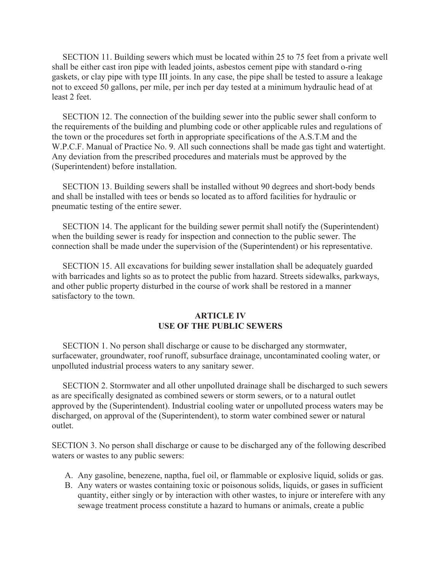SECTION 11. Building sewers which must be located within 25 to 75 feet from a private well shall be either cast iron pipe with leaded joints, asbestos cement pipe with standard o-ring gaskets, or clay pipe with type III joints. In any case, the pipe shall be tested to assure a leakage not to exceed 50 gallons, per mile, per inch per day tested at a minimum hydraulic head of at least 2 feet.

 SECTION 12. The connection of the building sewer into the public sewer shall conform to the requirements of the building and plumbing code or other applicable rules and regulations of the town or the procedures set forth in appropriate specifications of the A.S.T.M and the W.P.C.F. Manual of Practice No. 9. All such connections shall be made gas tight and watertight. Any deviation from the prescribed procedures and materials must be approved by the (Superintendent) before installation.

 SECTION 13. Building sewers shall be installed without 90 degrees and short-body bends and shall be installed with tees or bends so located as to afford facilities for hydraulic or pneumatic testing of the entire sewer.

 SECTION 14. The applicant for the building sewer permit shall notify the (Superintendent) when the building sewer is ready for inspection and connection to the public sewer. The connection shall be made under the supervision of the (Superintendent) or his representative.

 SECTION 15. All excavations for building sewer installation shall be adequately guarded with barricades and lights so as to protect the public from hazard. Streets sidewalks, parkways, and other public property disturbed in the course of work shall be restored in a manner satisfactory to the town.

## **ARTICLE IV USE OF THE PUBLIC SEWERS**

 SECTION 1. No person shall discharge or cause to be discharged any stormwater, surfacewater, groundwater, roof runoff, subsurface drainage, uncontaminated cooling water, or unpolluted industrial process waters to any sanitary sewer.

 SECTION 2. Stormwater and all other unpolluted drainage shall be discharged to such sewers as are specifically designated as combined sewers or storm sewers, or to a natural outlet approved by the (Superintendent). Industrial cooling water or unpolluted process waters may be discharged, on approval of the (Superintendent), to storm water combined sewer or natural outlet.

SECTION 3. No person shall discharge or cause to be discharged any of the following described waters or wastes to any public sewers:

- A. Any gasoline, benezene, naptha, fuel oil, or flammable or explosive liquid, solids or gas.
- B. Any waters or wastes containing toxic or poisonous solids, liquids, or gases in sufficient quantity, either singly or by interaction with other wastes, to injure or interefere with any sewage treatment process constitute a hazard to humans or animals, create a public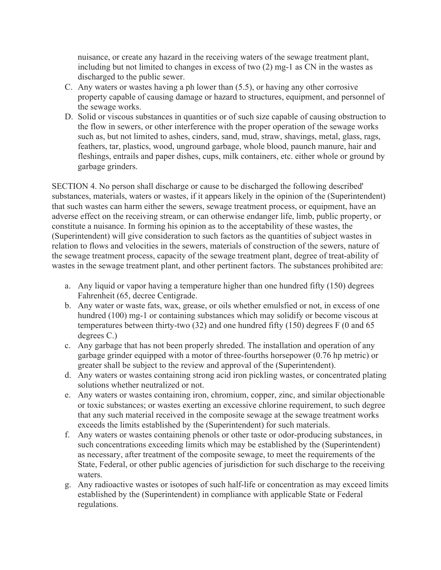nuisance, or create any hazard in the receiving waters of the sewage treatment plant, including but not limited to changes in excess of two (2) mg-1 as CN in the wastes as discharged to the public sewer.

- C. Any waters or wastes having a ph lower than (5.5), or having any other corrosive property capable of causing damage or hazard to structures, equipment, and personnel of the sewage works.
- D. Solid or viscous substances in quantities or of such size capable of causing obstruction to the flow in sewers, or other interference with the proper operation of the sewage works such as, but not limited to ashes, cinders, sand, mud, straw, shavings, metal, glass, rags, feathers, tar, plastics, wood, unground garbage, whole blood, paunch manure, hair and fleshings, entrails and paper dishes, cups, milk containers, etc. either whole or ground by garbage grinders.

SECTION 4. No person shall discharge or cause to be discharged the following described' substances, materials, waters or wastes, if it appears likely in the opinion of the (Superintendent) that such wastes can harm either the sewers, sewage treatment process, or equipment, have an adverse effect on the receiving stream, or can otherwise endanger life, limb, public property, or constitute a nuisance. In forming his opinion as to the acceptability of these wastes, the (Superintendent) will give consideration to such factors as the quantities of subject wastes in relation to flows and velocities in the sewers, materials of construction of the sewers, nature of the sewage treatment process, capacity of the sewage treatment plant, degree of treat-ability of wastes in the sewage treatment plant, and other pertinent factors. The substances prohibited are:

- a. Any liquid or vapor having a temperature higher than one hundred fifty (150) degrees Fahrenheit (65, decree Centigrade.
- b. Any water or waste fats, wax, grease, or oils whether emulsfied or not, in excess of one hundred (100) mg-1 or containing substances which may solidify or become viscous at temperatures between thirty-two (32) and one hundred fifty (150) degrees F (0 and 65 degrees C.)
- c. Any garbage that has not been properly shreded. The installation and operation of any garbage grinder equipped with a motor of three-fourths horsepower (0.76 hp metric) or greater shall be subject to the review and approval of the (Superintendent).
- d. Any waters or wastes containing strong acid iron pickling wastes, or concentrated plating solutions whether neutralized or not.
- e. Any waters or wastes containing iron, chromium, copper, zinc, and similar objectionable or toxic substances; or wastes exerting an excessive chlorine requirement, to such degree that any such material received in the composite sewage at the sewage treatment works exceeds the limits established by the (Superintendent) for such materials.
- f. Any waters or wastes containing phenols or other taste or odor-producing substances, in such concentrations exceeding limits which may be established by the (Superintendent) as necessary, after treatment of the composite sewage, to meet the requirements of the State, Federal, or other public agencies of jurisdiction for such discharge to the receiving waters.
- g. Any radioactive wastes or isotopes of such half-life or concentration as may exceed limits established by the (Superintendent) in compliance with applicable State or Federal regulations.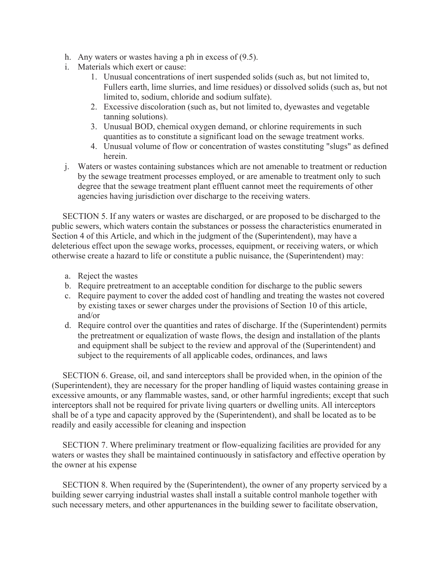- h. Any waters or wastes having a ph in excess of (9.5).
- i. Materials which exert or cause:
	- 1. Unusual concentrations of inert suspended solids (such as, but not limited to, Fullers earth, lime slurries, and lime residues) or dissolved solids (such as, but not limited to, sodium, chloride and sodium sulfate).
	- 2. Excessive discoloration (such as, but not limited to, dyewastes and vegetable tanning solutions).
	- 3. Unusual BOD, chemical oxygen demand, or chlorine requirements in such quantities as to constitute a significant load on the sewage treatment works.
	- 4. Unusual volume of flow or concentration of wastes constituting "slugs" as defined herein.
- j. Waters or wastes containing substances which are not amenable to treatment or reduction by the sewage treatment processes employed, or are amenable to treatment only to such degree that the sewage treatment plant effluent cannot meet the requirements of other agencies having jurisdiction over discharge to the receiving waters.

 SECTION 5. If any waters or wastes are discharged, or are proposed to be discharged to the public sewers, which waters contain the substances or possess the characteristics enumerated in Section 4 of this Article, and which in the judgment of the (Superintendent), may have a deleterious effect upon the sewage works, processes, equipment, or receiving waters, or which otherwise create a hazard to life or constitute a public nuisance, the (Superintendent) may:

- a. Reject the wastes
- b. Require pretreatment to an acceptable condition for discharge to the public sewers
- c. Require payment to cover the added cost of handling and treating the wastes not covered by existing taxes or sewer charges under the provisions of Section 10 of this article, and/or
- d. Require control over the quantities and rates of discharge. If the (Superintendent) permits the pretreatment or equalization of waste flows, the design and installation of the plants and equipment shall be subject to the review and approval of the (Superintendent) and subject to the requirements of all applicable codes, ordinances, and laws

 SECTION 6. Grease, oil, and sand interceptors shall be provided when, in the opinion of the (Superintendent), they are necessary for the proper handling of liquid wastes containing grease in excessive amounts, or any flammable wastes, sand, or other harmful ingredients; except that such interceptors shall not be required for private living quarters or dwelling units. All interceptors shall be of a type and capacity approved by the (Superintendent), and shall be located as to be readily and easily accessible for cleaning and inspection

 SECTION 7. Where preliminary treatment or flow-equalizing facilities are provided for any waters or wastes they shall be maintained continuously in satisfactory and effective operation by the owner at his expense

 SECTION 8. When required by the (Superintendent), the owner of any property serviced by a building sewer carrying industrial wastes shall install a suitable control manhole together with such necessary meters, and other appurtenances in the building sewer to facilitate observation,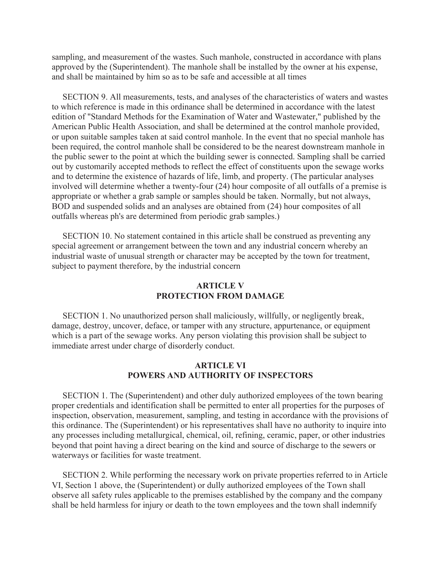sampling, and measurement of the wastes. Such manhole, constructed in accordance with plans approved by the (Superintendent). The manhole shall be installed by the owner at his expense, and shall be maintained by him so as to be safe and accessible at all times

 SECTION 9. All measurements, tests, and analyses of the characteristics of waters and wastes to which reference is made in this ordinance shall be determined in accordance with the latest edition of "Standard Methods for the Examination of Water and Wastewater," published by the American Public Health Association, and shall be determined at the control manhole provided, or upon suitable samples taken at said control manhole. In the event that no special manhole has been required, the control manhole shall be considered to be the nearest downstream manhole in the public sewer to the point at which the building sewer is connected. Sampling shall be carried out by customarily accepted methods to reflect the effect of constituents upon the sewage works and to determine the existence of hazards of life, limb, and property. (The particular analyses involved will determine whether a twenty-four (24) hour composite of all outfalls of a premise is appropriate or whether a grab sample or samples should be taken. Normally, but not always, BOD and suspended solids and an analyses are obtained from (24) hour composites of all outfalls whereas ph's are determined from periodic grab samples.)

 SECTION 10. No statement contained in this article shall be construed as preventing any special agreement or arrangement between the town and any industrial concern whereby an industrial waste of unusual strength or character may be accepted by the town for treatment, subject to payment therefore, by the industrial concern

## **ARTICLE V PROTECTION FROM DAMAGE**

 SECTION 1. No unauthorized person shall maliciously, willfully, or negligently break, damage, destroy, uncover, deface, or tamper with any structure, appurtenance, or equipment which is a part of the sewage works. Any person violating this provision shall be subject to immediate arrest under charge of disorderly conduct.

## **ARTICLE VI POWERS AND AUTHORITY OF INSPECTORS**

 SECTION 1. The (Superintendent) and other duly authorized employees of the town bearing proper credentials and identification shall be permitted to enter all properties for the purposes of inspection, observation, measurement, sampling, and testing in accordance with the provisions of this ordinance. The (Superintendent) or his representatives shall have no authority to inquire into any processes including metallurgical, chemical, oil, refining, ceramic, paper, or other industries beyond that point having a direct bearing on the kind and source of discharge to the sewers or waterways or facilities for waste treatment.

 SECTION 2. While performing the necessary work on private properties referred to in Article VI, Section 1 above, the (Superintendent) or dully authorized employees of the Town shall observe all safety rules applicable to the premises established by the company and the company shall be held harmless for injury or death to the town employees and the town shall indemnify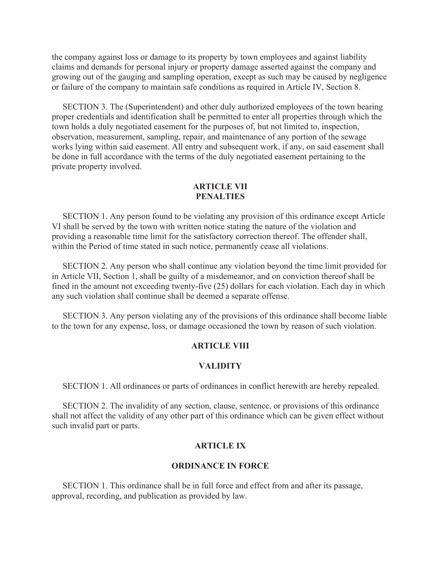the company against loss or damage to its property by town employees and against liability claims and demands for personal injury or property damage asserted against the company and growing out of the gauging and sampling operation, except as such may be caused by negligence or failure of the company to maintain safe conditions as required in Article IV, Section 8.

 SECTION 3. The (Superintendent) and other duly authorized employees of the town bearing proper credentials and identification shall be permitted to enter all properties through which the town holds a duly negotiated easement for the purposes of, but not limited to, inspection, observation, measurement, sampling, repair, and maintenance of any portion of the sewage works lying within said easement. All entry and subsequent work, if any, on said easement shall be done in full accordance with the terms of the duly negotiated easement pertaining to the private property involved.

## **ARTICLE VII PENALTIES**

 SECTION 1. Any person found to be violating any provision of this ordinance except Article VI shall be served by the town with written notice stating the nature of the violation and providing a reasonable time limit for the satisfactory correction thereof. The offender shall, within the Period of time stated in such notice, permanently cease all violations.

 SECTION 2. Any person who shall continue any violation beyond the time limit provided for in Article VII, Section 1, shall be guilty of a misdemeanor, and on conviction thereof shall be fined in the amount not exceeding twenty-five (25) dollars for each violation. Each day in which any such violation shall continue shall be deemed a separate offense.

 SECTION 3. Any person violating any of the provisions of this ordinance shall become liable to the town for any expense, loss, or damage occasioned the town by reason of such violation.

## **ARTICLE VIII**

#### **VALIDITY**

SECTION 1. All ordinances or parts of ordinances in conflict herewith are hereby repealed.

 SECTION 2. The invalidity of any section, clause, sentence, or provisions of this ordinance shall not affect the validity of any other part of this ordinance which can be given effect without such invalid part or parts.

#### **ARTICLE IX**

#### **ORDINANCE IN FORCE**

 SECTION 1. This ordinance shall be in full force and effect from and after its passage, approval, recording, and publication as provided by law.